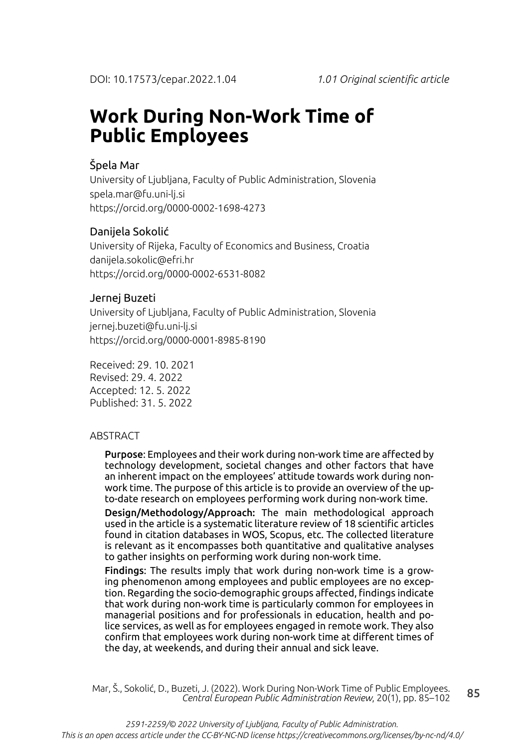# **Work During Non-Work Time of Public Employees**

### Špela Mar

University of Ljubljana, Faculty of Public Administration, Slovenia spela.mar@fu.uni-lj.si https://orcid.org/0000-0002-1698-4273

### Danijela Sokolić

University of Rijeka, Faculty of Economics and Business, Croatia danijela.sokolic@efri.hr https://orcid.org/0000-0002-6531-8082

#### Jernej Buzeti

University of Ljubljana, Faculty of Public Administration, Slovenia jernej.buzeti@fu.uni-lj.si https://orcid.org/0000-0001-8985-8190

Received: 29. 10. 2021 Revised: 29. 4. 2022 Accepted: 12. 5. 2022 Published: 31. 5. 2022

#### ABSTRACT

Purpose: Employees and their work during non-work time are affected by technology development, societal changes and other factors that have an inherent impact on the employees' attitude towards work during nonwork time. The purpose of this article is to provide an overview of the upto-date research on employees performing work during non-work time.

Design/Methodology/Approach: The main methodological approach used in the article is a systematic literature review of 18 scientific articles found in citation databases in WOS, Scopus, etc. The collected literature is relevant as it encompasses both quantitative and qualitative analyses to gather insights on performing work during non-work time.

Findings: The results imply that work during non-work time is a growing phenomenon among employees and public employees are no exception. Regarding the socio-demographic groups affected, findings indicate that work during non-work time is particularly common for employees in managerial positions and for professionals in education, health and police services, as well as for employees engaged in remote work. They also confirm that employees work during non-work time at different times of the day, at weekends, and during their annual and sick leave.

85 Mar, Š., Sokolić, D., Buzeti, J. (2022). Work During Non-Work Time of Public Employees. *Central European Public Administration Review*, 20(1), pp. 85–102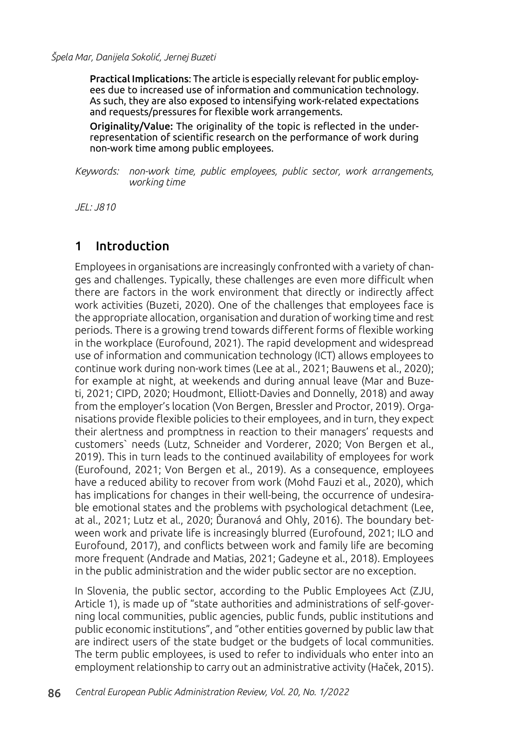Practical Implications: The article is especially relevant for public employees due to increased use of information and communication technology. As such, they are also exposed to intensifying work-related expectations and requests/pressures for flexible work arrangements.

Originality/Value: The originality of the topic is reflected in the underrepresentation of scientific research on the performance of work during non-work time among public employees.

*Keywords: non-work time, public employees, public sector, work arrangements, working time*

*JEL: J810*

### 1 Introduction

Employees in organisations are increasingly confronted with a variety of changes and challenges. Typically, these challenges are even more difficult when there are factors in the work environment that directly or indirectly affect work activities (Buzeti, 2020). One of the challenges that employees face is the appropriate allocation, organisation and duration of working time and rest periods. There is a growing trend towards different forms of flexible working in the workplace (Eurofound, 2021). The rapid development and widespread use of information and communication technology (ICT) allows employees to continue work during non-work times (Lee at al., 2021; Bauwens et al., 2020); for example at night, at weekends and during annual leave (Mar and Buzeti, 2021; CIPD, 2020; Houdmont, Elliott-Davies and Donnelly, 2018) and away from the employer's location (Von Bergen, Bressler and Proctor, 2019). Organisations provide flexible policies to their employees, and in turn, they expect their alertness and promptness in reaction to their managers' requests and customers` needs (Lutz, Schneider and Vorderer, 2020; Von Bergen et al., 2019). This in turn leads to the continued availability of employees for work (Eurofound, 2021; Von Bergen et al., 2019). As a consequence, employees have a reduced ability to recover from work (Mohd Fauzi et al., 2020), which has implications for changes in their well-being, the occurrence of undesirable emotional states and the problems with psychological detachment (Lee, at al., 2021; Lutz et al., 2020; Ďuranová and Ohly, 2016). The boundary between work and private life is increasingly blurred (Eurofound, 2021; ILO and Eurofound, 2017), and conflicts between work and family life are becoming more frequent (Andrade and Matias, 2021; Gadeyne et al., 2018). Employees in the public administration and the wider public sector are no exception.

In Slovenia, the public sector, according to the Public Employees Act (ZJU, Article 1), is made up of "state authorities and administrations of self-governing local communities, public agencies, public funds, public institutions and public economic institutions", and "other entities governed by public law that are indirect users of the state budget or the budgets of local communities. The term public employees, is used to refer to individuals who enter into an employment relationship to carry out an administrative activity (Haček, 2015).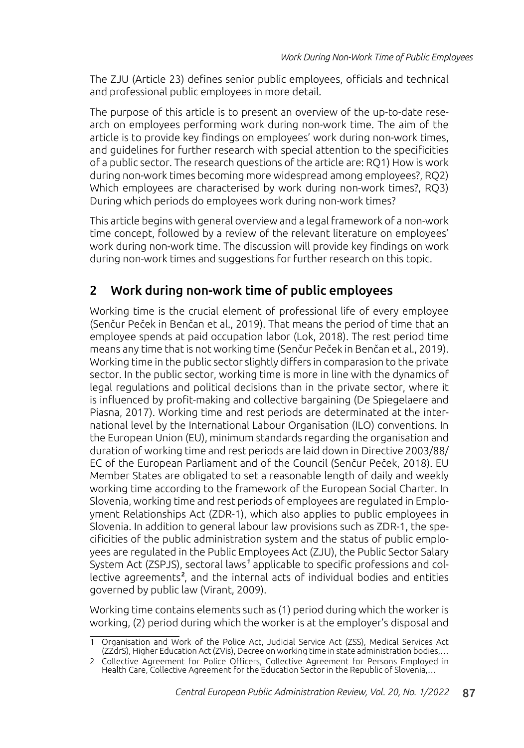The ZJU (Article 23) defines senior public employees, officials and technical and professional public employees in more detail.

The purpose of this article is to present an overview of the up-to-date research on employees performing work during non-work time. The aim of the article is to provide key findings on employees' work during non-work times, and guidelines for further research with special attention to the specificities of a public sector. The research questions of the article are: RQ1) How is work during non-work times becoming more widespread among employees?, RQ2) Which employees are characterised by work during non-work times?, RQ3) During which periods do employees work during non-work times?

This article begins with general overview and a legal framework of a non-work time concept, followed by a review of the relevant literature on employees' work during non-work time. The discussion will provide key findings on work during non-work times and suggestions for further research on this topic.

# 2 Work during non-work time of public employees

Working time is the crucial element of professional life of every employee (Senčur Peček in Benčan et al., 2019). That means the period of time that an employee spends at paid occupation labor (Lok, 2018). The rest period time means any time that is not working time (Senčur Peček in Benčan et al., 2019). Working time in the public sector slightly differs in comparasion to the private sector. In the public sector, working time is more in line with the dynamics of legal regulations and political decisions than in the private sector, where it is influenced by profit-making and collective bargaining (De Spiegelaere and Piasna, 2017). Working time and rest periods are determinated at the international level by the International Labour Organisation (ILO) conventions. In the European Union (EU), minimum standards regarding the organisation and duration of working time and rest periods are laid down in Directive 2003/88/ EC of the European Parliament and of the Council (Senčur Peček, 2018). EU Member States are obligated to set a reasonable length of daily and weekly working time according to the framework of the European Social Charter. In Slovenia, working time and rest periods of employees are regulated in Employment Relationships Act (ZDR-1), which also applies to public employees in Slovenia. In addition to general labour law provisions such as ZDR-1, the specificities of the public administration system and the status of public employees are regulated in the Public Employees Act (ZJU), the Public Sector Salary System Act (ZSPJS), sectoral laws<sup>1</sup> applicable to specific professions and collective agreements<sup>2</sup>, and the internal acts of individual bodies and entities governed by public law (Virant, 2009).

Working time contains elements such as (1) period during which the worker is working, (2) period during which the worker is at the employer's disposal and

<sup>1</sup> Organisation and Work of the Police Act, Judicial Service Act (ZSS), Medical Services Act (ZZdrS), Higher Education Act (ZVis), Decree on working time in state administration bodies,…

<sup>2</sup> Collective Agreement for Police Officers, Collective Agreement for Persons Employed in Health Care, Collective Agreement for the Education Sector in the Republic of Slovenia,…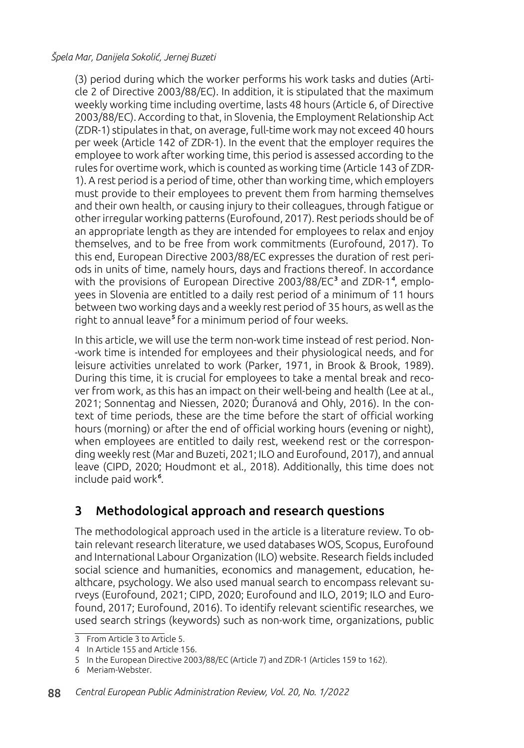(3) period during which the worker performs his work tasks and duties (Article 2 of Directive 2003/88/EC). In addition, it is stipulated that the maximum weekly working time including overtime, lasts 48 hours (Article 6, of Directive 2003/88/EC). According to that, in Slovenia, the Employment Relationship Act (ZDR-1) stipulates in that, on average, full-time work may not exceed 40 hours per week (Article 142 of ZDR-1). In the event that the employer requires the employee to work after working time, this period is assessed according to the rules for overtime work, which is counted as working time (Article 143 of ZDR-1). A rest period is a period of time, other than working time, which employers must provide to their employees to prevent them from harming themselves and their own health, or causing injury to their colleagues, through fatigue or other irregular working patterns (Eurofound, 2017). Rest periods should be of an appropriate length as they are intended for employees to relax and enjoy themselves, and to be free from work commitments (Eurofound, 2017). To this end, European Directive 2003/88/EC expresses the duration of rest periods in units of time, namely hours, days and fractions thereof. In accordance with the provisions of European Directive 2003/88/EC $^3$  and ZDR-1<sup>4</sup>, employees in Slovenia are entitled to a daily rest period of a minimum of 11 hours between two working days and a weekly rest period of 35 hours, as well as the right to annual leave<sup>5</sup> for a minimum period of four weeks.

In this article, we will use the term non-work time instead of rest period. Non- -work time is intended for employees and their physiological needs, and for leisure activities unrelated to work (Parker, 1971, in Brook & Brook, 1989). During this time, it is crucial for employees to take a mental break and recover from work, as this has an impact on their well-being and health (Lee at al., 2021; Sonnentag and Niessen, 2020; Ďuranová and Ohly, 2016). In the context of time periods, these are the time before the start of official working hours (morning) or after the end of official working hours (evening or night), when employees are entitled to daily rest, weekend rest or the corresponding weekly rest (Mar and Buzeti, 2021; ILO and Eurofound, 2017), and annual leave (CIPD, 2020; Houdmont et al., 2018). Additionally, this time does not include paid work<sup>6</sup>.

# 3 Methodological approach and research questions

The methodological approach used in the article is a literature review. To obtain relevant research literature, we used databases WOS, Scopus, Eurofound and International Labour Organization (ILO) website. Research fields included social science and humanities, economics and management, education, healthcare, psychology. We also used manual search to encompass relevant surveys (Eurofound, 2021; CIPD, 2020; Eurofound and ILO, 2019; ILO and Eurofound, 2017; Eurofound, 2016). To identify relevant scientific researches, we used search strings (keywords) such as non-work time, organizations, public

<sup>3</sup> From Article 3 to Article 5.

<sup>4</sup> In Article 155 and Article 156.

<sup>5</sup> In the European Directive 2003/88/EC (Article 7) and ZDR-1 (Articles 159 to 162).

<sup>6</sup> Meriam-Webster.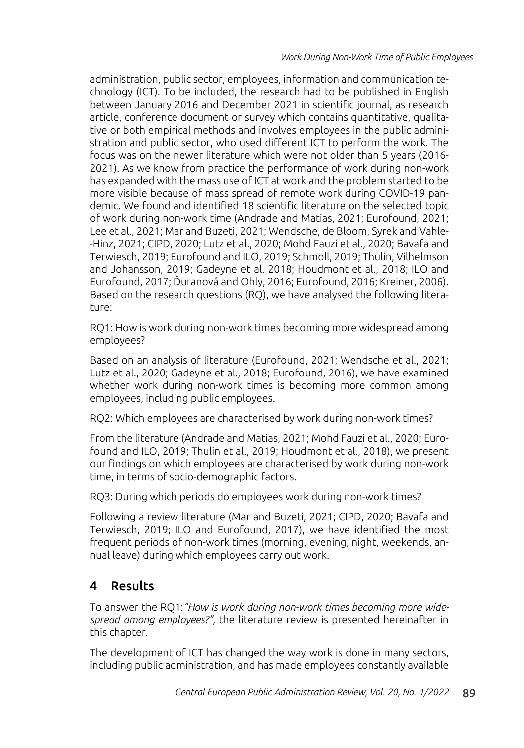administration, public sector, employees, information and communication technology (ICT). To be included, the research had to be published in English between January 2016 and December 2021 in scientific journal, as research article, conference document or survey which contains quantitative, qualitative or both empirical methods and involves employees in the public administration and public sector, who used different ICT to perform the work. The focus was on the newer literature which were not older than 5 years (2016- 2021). As we know from practice the performance of work during non-work has expanded with the mass use of ICT at work and the problem started to be more visible because of mass spread of remote work during COVID-19 pandemic. We found and identified 18 scientific literature on the selected topic of work during non-work time (Andrade and Matias, 2021; Eurofound, 2021; Lee et al., 2021; Mar and Buzeti, 2021; Wendsche, de Bloom, Syrek and Vahle- -Hinz, 2021; CIPD, 2020; Lutz et al., 2020; Mohd Fauzi et al., 2020; Bavafa and Terwiesch, 2019; Eurofound and ILO, 2019; Schmoll, 2019; Thulin, Vilhelmson and Johansson, 2019; Gadeyne et al. 2018; Houdmont et al., 2018; ILO and Eurofound, 2017; Ďuranová and Ohly, 2016; Eurofound, 2016; Kreiner, 2006). Based on the research questions (RQ), we have analysed the following literature:

RQ1: How is work during non-work times becoming more widespread among employees?

Based on an analysis of literature (Eurofound, 2021; Wendsche et al., 2021; Lutz et al., 2020; Gadeyne et al., 2018; Eurofound, 2016), we have examined whether work during non-work times is becoming more common among employees, including public employees.

RQ2: Which employees are characterised by work during non-work times?

From the literature (Andrade and Matias, 2021; Mohd Fauzi et al., 2020; Eurofound and ILO, 2019; Thulin et al., 2019; Houdmont et al., 2018), we present our findings on which employees are characterised by work during non-work time, in terms of socio-demographic factors.

RQ3: During which periods do employees work during non-work times?

Following a review literature (Mar and Buzeti, 2021; CIPD, 2020; Bavafa and Terwiesch, 2019; ILO and Eurofound, 2017), we have identified the most frequent periods of non-work times (morning, evening, night, weekends, annual leave) during which employees carry out work.

# 4 Results

To answer the RQ1:*"How is work during non-work times becoming more widespread among employees?",* the literature review is presented hereinafter in this chapter.

The development of ICT has changed the way work is done in many sectors, including public administration, and has made employees constantly available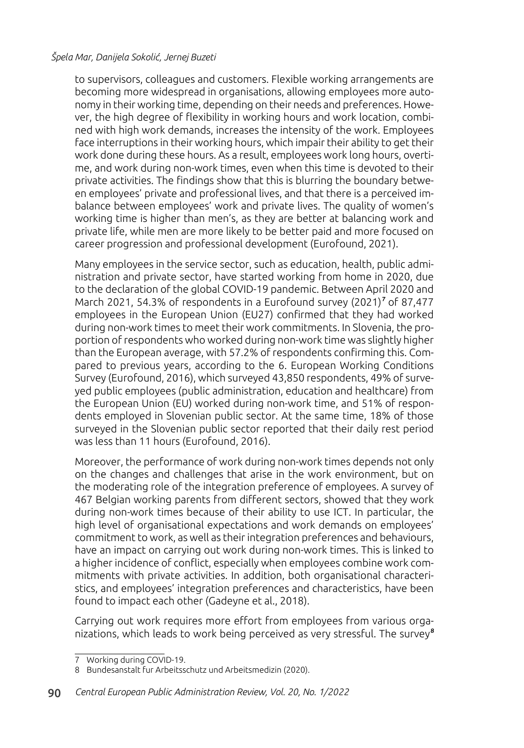to supervisors, colleagues and customers. Flexible working arrangements are becoming more widespread in organisations, allowing employees more autonomy in their working time, depending on their needs and preferences. However, the high degree of flexibility in working hours and work location, combined with high work demands, increases the intensity of the work. Employees face interruptions in their working hours, which impair their ability to get their work done during these hours. As a result, employees work long hours, overtime, and work during non-work times, even when this time is devoted to their private activities. The findings show that this is blurring the boundary between employees' private and professional lives, and that there is a perceived imbalance between employees' work and private lives. The quality of women's working time is higher than men's, as they are better at balancing work and private life, while men are more likely to be better paid and more focused on career progression and professional development (Eurofound, 2021).

Many employees in the service sector, such as education, health, public administration and private sector, have started working from home in 2020, due to the declaration of the global COVID-19 pandemic. Between April 2020 and March 2021, 54.3% of respondents in a Eurofound survey (2021)<sup>7</sup> of 87,477 employees in the European Union (EU27) confirmed that they had worked during non-work times to meet their work commitments. In Slovenia, the proportion of respondents who worked during non-work time was slightly higher than the European average, with 57.2% of respondents confirming this. Compared to previous years, according to the 6. European Working Conditions Survey (Eurofound, 2016), which surveyed 43,850 respondents, 49% of surveyed public employees (public administration, education and healthcare) from the European Union (EU) worked during non-work time, and 51% of respondents employed in Slovenian public sector. At the same time, 18% of those surveyed in the Slovenian public sector reported that their daily rest period was less than 11 hours (Eurofound, 2016).

Moreover, the performance of work during non-work times depends not only on the changes and challenges that arise in the work environment, but on the moderating role of the integration preference of employees. A survey of 467 Belgian working parents from different sectors, showed that they work during non-work times because of their ability to use ICT. In particular, the high level of organisational expectations and work demands on employees' commitment to work, as well as their integration preferences and behaviours, have an impact on carrying out work during non-work times. This is linked to a higher incidence of conflict, especially when employees combine work commitments with private activities. In addition, both organisational characteristics, and employees' integration preferences and characteristics, have been found to impact each other (Gadeyne et al., 2018).

Carrying out work requires more effort from employees from various organizations, which leads to work being perceived as very stressful. The survey<sup>8</sup>

<sup>7</sup> Working during COVID-19.

<sup>8</sup> Bundesanstalt fur Arbeitsschutz und Arbeitsmedizin (2020).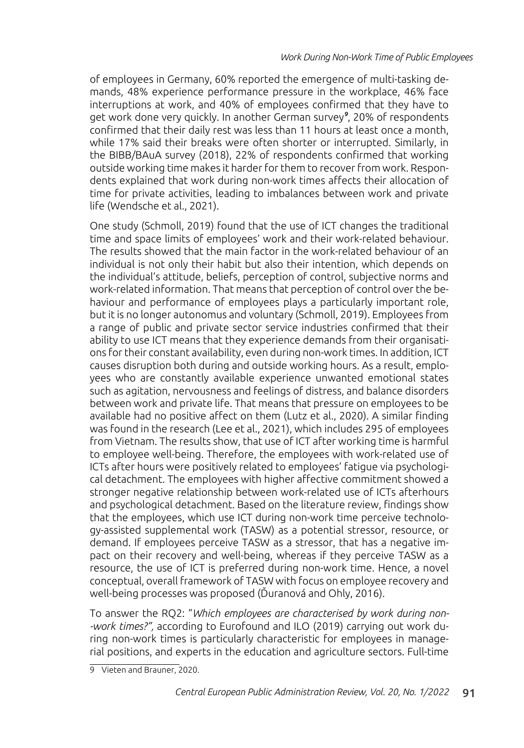of employees in Germany, 60% reported the emergence of multi-tasking demands, 48% experience performance pressure in the workplace, 46% face interruptions at work, and 40% of employees confirmed that they have to get work done very quickly. In another German survey<sup>9</sup>, 20% of respondents confirmed that their daily rest was less than 11 hours at least once a month, while 17% said their breaks were often shorter or interrupted. Similarly, in the BIBB/BAuA survey (2018), 22% of respondents confirmed that working outside working time makes it harder for them to recover from work. Respondents explained that work during non-work times affects their allocation of time for private activities, leading to imbalances between work and private life (Wendsche et al., 2021).

One study (Schmoll, 2019) found that the use of ICT changes the traditional time and space limits of employees' work and their work-related behaviour. The results showed that the main factor in the work-related behaviour of an individual is not only their habit but also their intention, which depends on the individual's attitude, beliefs, perception of control, subjective norms and work-related information. That means that perception of control over the behaviour and performance of employees plays a particularly important role, but it is no longer autonomus and voluntary (Schmoll, 2019). Employees from a range of public and private sector service industries confirmed that their ability to use ICT means that they experience demands from their organisations for their constant availability, even during non-work times. In addition, ICT causes disruption both during and outside working hours. As a result, employees who are constantly available experience unwanted emotional states such as agitation, nervousness and feelings of distress, and balance disorders between work and private life. That means that pressure on employees to be available had no positive affect on them (Lutz et al., 2020). A similar finding was found in the research (Lee et al., 2021), which includes 295 of employees from Vietnam. The results show, that use of ICT after working time is harmful to employee well-being. Therefore, the employees with work-related use of ICTs after hours were positively related to employees' fatigue via psychological detachment. The employees with higher affective commitment showed a stronger negative relationship between work-related use of ICTs afterhours and psychological detachment. Based on the literature review, findings show that the employees, which use ICT during non-work time perceive technology-assisted supplemental work (TASW) as a potential stressor, resource, or demand. If employees perceive TASW as a stressor, that has a negative impact on their recovery and well-being, whereas if they perceive TASW as a resource, the use of ICT is preferred during non-work time. Hence, a novel conceptual, overall framework of TASW with focus on employee recovery and well-being processes was proposed (Ďuranová and Ohly, 2016).

To answer the RQ2: "*Which employees are characterised by work during non- -work times?",* according to Eurofound and ILO (2019) carrying out work during non-work times is particularly characteristic for employees in managerial positions, and experts in the education and agriculture sectors. Full-time

<sup>9</sup> Vieten and Brauner, 2020.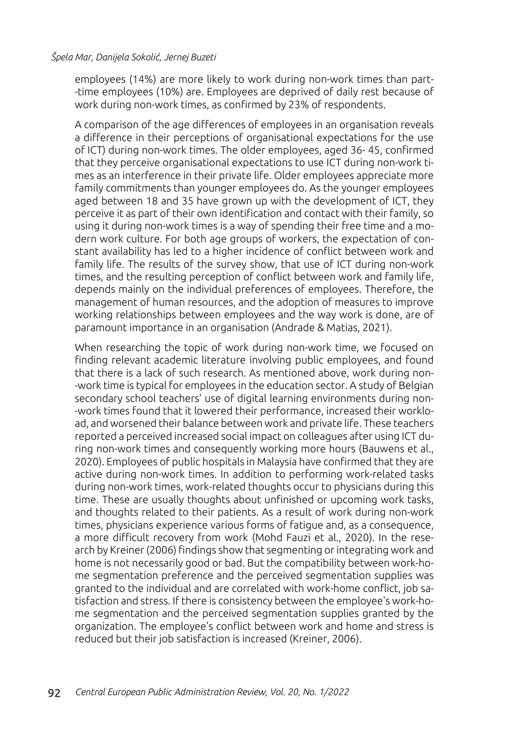employees (14%) are more likely to work during non-work times than part- -time employees (10%) are. Employees are deprived of daily rest because of work during non-work times, as confirmed by 23% of respondents.

A comparison of the age differences of employees in an organisation reveals a difference in their perceptions of organisational expectations for the use of ICT) during non-work times. The older employees, aged 36- 45, confirmed that they perceive organisational expectations to use ICT during non-work times as an interference in their private life. Older employees appreciate more family commitments than younger employees do. As the younger employees aged between 18 and 35 have grown up with the development of ICT, they perceive it as part of their own identification and contact with their family, so using it during non-work times is a way of spending their free time and a modern work culture. For both age groups of workers, the expectation of constant availability has led to a higher incidence of conflict between work and family life. The results of the survey show, that use of ICT during non-work times, and the resulting perception of conflict between work and family life, depends mainly on the individual preferences of employees. Therefore, the management of human resources, and the adoption of measures to improve working relationships between employees and the way work is done, are of paramount importance in an organisation (Andrade & Matias, 2021).

When researching the topic of work during non-work time, we focused on finding relevant academic literature involving public employees, and found that there is a lack of such research. As mentioned above, work during non- -work time is typical for employees in the education sector. A study of Belgian secondary school teachers' use of digital learning environments during non- -work times found that it lowered their performance, increased their workload, and worsened their balance between work and private life. These teachers reported a perceived increased social impact on colleagues after using ICT during non-work times and consequently working more hours (Bauwens et al., 2020). Employees of public hospitals in Malaysia have confirmed that they are active during non-work times. In addition to performing work-related tasks during non-work times, work-related thoughts occur to physicians during this time. These are usually thoughts about unfinished or upcoming work tasks, and thoughts related to their patients. As a result of work during non-work times, physicians experience various forms of fatigue and, as a consequence, a more difficult recovery from work (Mohd Fauzi et al., 2020). In the research by Kreiner (2006) findings show that segmenting or integrating work and home is not necessarily good or bad. But the compatibility between work-home segmentation preference and the perceived segmentation supplies was granted to the individual and are correlated with work-home conflict, job satisfaction and stress. If there is consistency between the employee's work-home segmentation and the perceived segmentation supplies granted by the organization. The employee's conflict between work and home and stress is reduced but their job satisfaction is increased (Kreiner, 2006).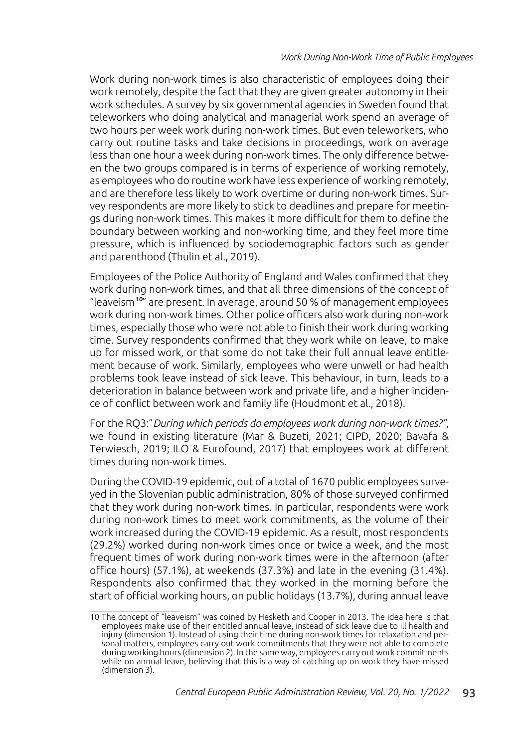Work during non-work times is also characteristic of employees doing their work remotely, despite the fact that they are given greater autonomy in their work schedules. A survey by six governmental agencies in Sweden found that teleworkers who doing analytical and managerial work spend an average of two hours per week work during non-work times. But even teleworkers, who carry out routine tasks and take decisions in proceedings, work on average less than one hour a week during non-work times. The only difference between the two groups compared is in terms of experience of working remotely, as employees who do routine work have less experience of working remotely, and are therefore less likely to work overtime or during non-work times. Survey respondents are more likely to stick to deadlines and prepare for meetings during non-work times. This makes it more difficult for them to define the boundary between working and non-working time, and they feel more time pressure, which is influenced by sociodemographic factors such as gender and parenthood (Thulin et al., 2019).

Employees of the Police Authority of England and Wales confirmed that they work during non-work times, and that all three dimensions of the concept of "leaveism<sup>10"</sup> are present. In average, around 50 % of management employees work during non-work times. Other police officers also work during non-work times, especially those who were not able to finish their work during working time. Survey respondents confirmed that they work while on leave, to make up for missed work, or that some do not take their full annual leave entitlement because of work. Similarly, employees who were unwell or had health problems took leave instead of sick leave. This behaviour, in turn, leads to a deterioration in balance between work and private life, and a higher incidence of conflict between work and family life (Houdmont et al., 2018).

For the RQ3:"*During which periods do employees work during non-work times?"*, we found in existing literature (Mar & Buzeti, 2021; CIPD, 2020; Bavafa & Terwiesch, 2019; ILO & Eurofound, 2017) that employees work at different times during non-work times.

During the COVID-19 epidemic, out of a total of 1670 public employees surveyed in the Slovenian public administration, 80% of those surveyed confirmed that they work during non-work times. In particular, respondents were work during non-work times to meet work commitments, as the volume of their work increased during the COVID-19 epidemic. As a result, most respondents (29.2%) worked during non-work times once or twice a week, and the most frequent times of work during non-work times were in the afternoon (after office hours) (57.1%), at weekends (37.3%) and late in the evening (31.4%). Respondents also confirmed that they worked in the morning before the start of official working hours, on public holidays (13.7%), during annual leave

<sup>10</sup> The concept of "leaveism" was coined by Hesketh and Cooper in 2013. The idea here is that employees make use of their entitled annual leave, instead of sick leave due to ill health and injury (dimension 1). Instead of using their time during non-work times for relaxation and personal matters, employees carry out work commitments that they were not able to complete during working hours (dimension 2). In the same way, employees carry out work commitments while on annual leave, believing that this is a way of catching up on work they have missed (dimension 3).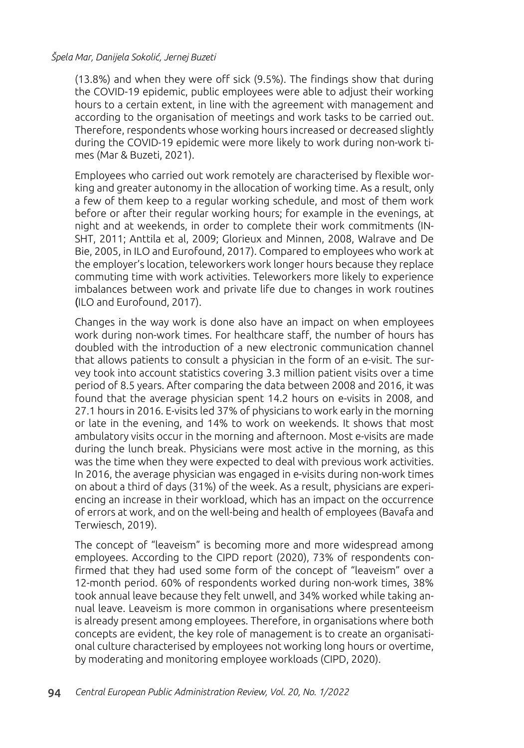(13.8%) and when they were off sick (9.5%). The findings show that during the COVID-19 epidemic, public employees were able to adjust their working hours to a certain extent, in line with the agreement with management and according to the organisation of meetings and work tasks to be carried out. Therefore, respondents whose working hours increased or decreased slightly during the COVID-19 epidemic were more likely to work during non-work times (Mar & Buzeti, 2021).

Employees who carried out work remotely are characterised by flexible working and greater autonomy in the allocation of working time. As a result, only a few of them keep to a regular working schedule, and most of them work before or after their regular working hours; for example in the evenings, at night and at weekends, in order to complete their work commitments (IN-SHT, 2011; Anttila et al, 2009; Glorieux and Minnen, 2008, Walrave and De Bie, 2005, in ILO and Eurofound, 2017). Compared to employees who work at the employer's location, teleworkers work longer hours because they replace commuting time with work activities. Teleworkers more likely to experience imbalances between work and private life due to changes in work routines (ILO and Eurofound, 2017).

Changes in the way work is done also have an impact on when employees work during non-work times. For healthcare staff, the number of hours has doubled with the introduction of a new electronic communication channel that allows patients to consult a physician in the form of an e-visit. The survey took into account statistics covering 3.3 million patient visits over a time period of 8.5 years. After comparing the data between 2008 and 2016, it was found that the average physician spent 14.2 hours on e-visits in 2008, and 27.1 hours in 2016. E-visits led 37% of physicians to work early in the morning or late in the evening, and 14% to work on weekends. It shows that most ambulatory visits occur in the morning and afternoon. Most e-visits are made during the lunch break. Physicians were most active in the morning, as this was the time when they were expected to deal with previous work activities. In 2016, the average physician was engaged in e-visits during non-work times on about a third of days (31%) of the week. As a result, physicians are experiencing an increase in their workload, which has an impact on the occurrence of errors at work, and on the well-being and health of employees (Bavafa and Terwiesch, 2019).

The concept of "leaveism" is becoming more and more widespread among employees. According to the CIPD report (2020), 73% of respondents confirmed that they had used some form of the concept of "leaveism" over a 12-month period. 60% of respondents worked during non-work times, 38% took annual leave because they felt unwell, and 34% worked while taking annual leave. Leaveism is more common in organisations where presenteeism is already present among employees. Therefore, in organisations where both concepts are evident, the key role of management is to create an organisational culture characterised by employees not working long hours or overtime, by moderating and monitoring employee workloads (CIPD, 2020).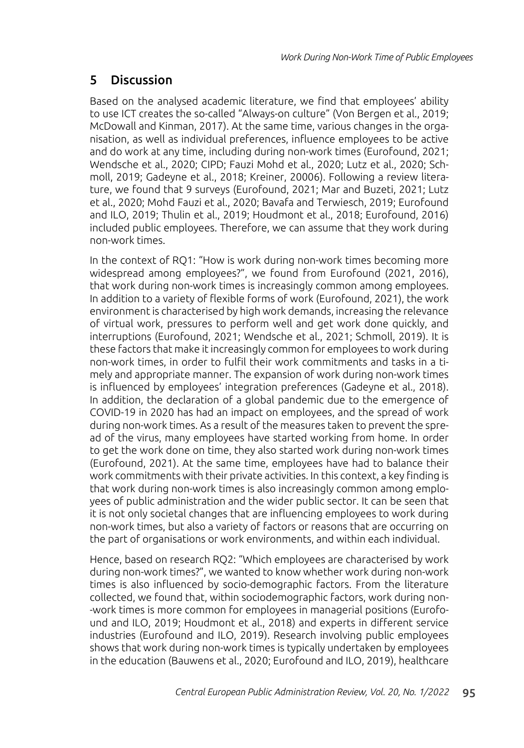## 5 Discussion

Based on the analysed academic literature, we find that employees' ability to use ICT creates the so-called "Always-on culture" (Von Bergen et al., 2019; McDowall and Kinman, 2017). At the same time, various changes in the organisation, as well as individual preferences, influence employees to be active and do work at any time, including during non-work times (Eurofound, 2021; Wendsche et al., 2020; CIPD; Fauzi Mohd et al., 2020; Lutz et al., 2020; Schmoll, 2019; Gadeyne et al., 2018; Kreiner, 20006). Following a review literature, we found that 9 surveys (Eurofound, 2021; Mar and Buzeti, 2021; Lutz et al., 2020; Mohd Fauzi et al., 2020; Bavafa and Terwiesch, 2019; Eurofound and ILO, 2019; Thulin et al., 2019; Houdmont et al., 2018; Eurofound, 2016) included public employees. Therefore, we can assume that they work during non-work times.

In the context of RQ1: "How is work during non-work times becoming more widespread among employees?", we found from Eurofound (2021, 2016), that work during non-work times is increasingly common among employees. In addition to a variety of flexible forms of work (Eurofound, 2021), the work environment is characterised by high work demands, increasing the relevance of virtual work, pressures to perform well and get work done quickly, and interruptions (Eurofound, 2021; Wendsche et al., 2021; Schmoll, 2019). It is these factors that make it increasingly common for employees to work during non-work times, in order to fulfil their work commitments and tasks in a timely and appropriate manner. The expansion of work during non-work times is influenced by employees' integration preferences (Gadeyne et al., 2018). In addition, the declaration of a global pandemic due to the emergence of COVID-19 in 2020 has had an impact on employees, and the spread of work during non-work times. As a result of the measures taken to prevent the spread of the virus, many employees have started working from home. In order to get the work done on time, they also started work during non-work times (Eurofound, 2021). At the same time, employees have had to balance their work commitments with their private activities. In this context, a key finding is that work during non-work times is also increasingly common among employees of public administration and the wider public sector. It can be seen that it is not only societal changes that are influencing employees to work during non-work times, but also a variety of factors or reasons that are occurring on the part of organisations or work environments, and within each individual.

Hence, based on research RQ2: "Which employees are characterised by work during non-work times?", we wanted to know whether work during non-work times is also influenced by socio-demographic factors. From the literature collected, we found that, within sociodemographic factors, work during non- -work times is more common for employees in managerial positions (Eurofound and ILO, 2019; Houdmont et al., 2018) and experts in different service industries (Eurofound and ILO, 2019). Research involving public employees shows that work during non-work times is typically undertaken by employees in the education (Bauwens et al., 2020; Eurofound and ILO, 2019), healthcare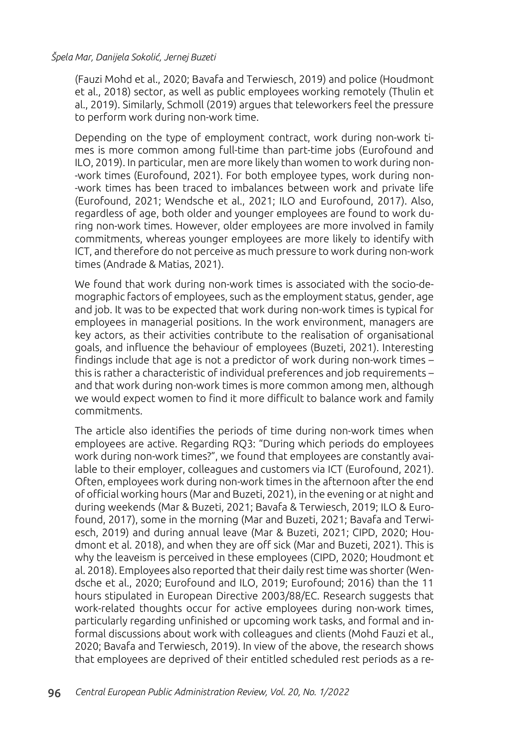(Fauzi Mohd et al., 2020; Bavafa and Terwiesch, 2019) and police (Houdmont et al., 2018) sector, as well as public employees working remotely (Thulin et al., 2019). Similarly, Schmoll (2019) argues that teleworkers feel the pressure to perform work during non-work time.

Depending on the type of employment contract, work during non-work times is more common among full-time than part-time jobs (Eurofound and ILO, 2019). In particular, men are more likely than women to work during non- -work times (Eurofound, 2021). For both employee types, work during non- -work times has been traced to imbalances between work and private life (Eurofound, 2021; Wendsche et al., 2021; ILO and Eurofound, 2017). Also, regardless of age, both older and younger employees are found to work during non-work times. However, older employees are more involved in family commitments, whereas younger employees are more likely to identify with ICT, and therefore do not perceive as much pressure to work during non-work times (Andrade & Matias, 2021).

We found that work during non-work times is associated with the socio-demographic factors of employees, such as the employment status, gender, age and job. It was to be expected that work during non-work times is typical for employees in managerial positions. In the work environment, managers are key actors, as their activities contribute to the realisation of organisational goals, and influence the behaviour of employees (Buzeti, 2021). Interesting findings include that age is not a predictor of work during non-work times – this is rather a characteristic of individual preferences and job requirements – and that work during non-work times is more common among men, although we would expect women to find it more difficult to balance work and family commitments.

The article also identifies the periods of time during non-work times when employees are active. Regarding RQ3: "During which periods do employees work during non-work times?", we found that employees are constantly available to their employer, colleagues and customers via ICT (Eurofound, 2021). Often, employees work during non-work times in the afternoon after the end of official working hours (Mar and Buzeti, 2021), in the evening or at night and during weekends (Mar & Buzeti, 2021; Bavafa & Terwiesch, 2019; ILO & Eurofound, 2017), some in the morning (Mar and Buzeti, 2021; Bavafa and Terwiesch, 2019) and during annual leave (Mar & Buzeti, 2021; CIPD, 2020; Houdmont et al. 2018), and when they are off sick (Mar and Buzeti, 2021). This is why the leaveism is perceived in these employees (CIPD, 2020; Houdmont et al. 2018). Employees also reported that their daily rest time was shorter (Wendsche et al., 2020; Eurofound and ILO, 2019; Eurofound; 2016) than the 11 hours stipulated in European Directive 2003/88/EC. Research suggests that work-related thoughts occur for active employees during non-work times, particularly regarding unfinished or upcoming work tasks, and formal and informal discussions about work with colleagues and clients (Mohd Fauzi et al., 2020; Bavafa and Terwiesch, 2019). In view of the above, the research shows that employees are deprived of their entitled scheduled rest periods as a re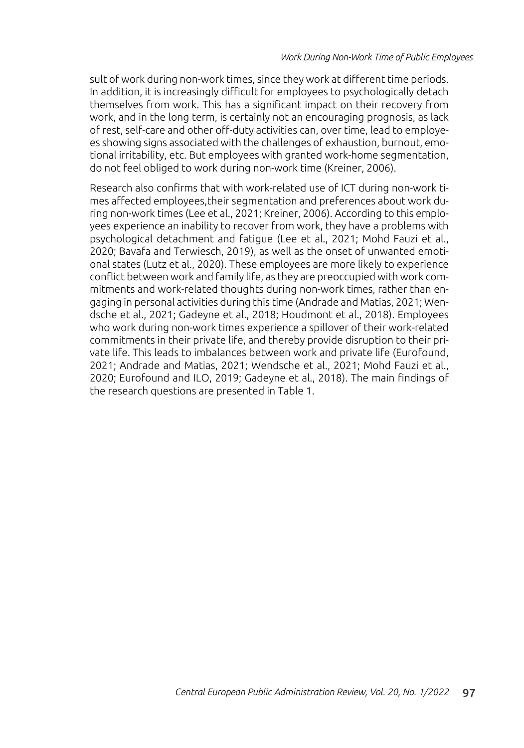sult of work during non-work times, since they work at different time periods. In addition, it is increasingly difficult for employees to psychologically detach themselves from work. This has a significant impact on their recovery from work, and in the long term, is certainly not an encouraging prognosis, as lack of rest, self-care and other off-duty activities can, over time, lead to employees showing signs associated with the challenges of exhaustion, burnout, emotional irritability, etc. But employees with granted work-home segmentation, do not feel obliged to work during non-work time (Kreiner, 2006).

Research also confirms that with work-related use of ICT during non-work times affected employees,their segmentation and preferences about work during non-work times (Lee et al., 2021; Kreiner, 2006). According to this employees experience an inability to recover from work, they have a problems with psychological detachment and fatigue (Lee et al., 2021; Mohd Fauzi et al., 2020; Bavafa and Terwiesch, 2019), as well as the onset of unwanted emotional states (Lutz et al., 2020). These employees are more likely to experience conflict between work and family life, as they are preoccupied with work commitments and work-related thoughts during non-work times, rather than engaging in personal activities during this time (Andrade and Matias, 2021; Wendsche et al., 2021; Gadeyne et al., 2018; Houdmont et al., 2018). Employees who work during non-work times experience a spillover of their work-related commitments in their private life, and thereby provide disruption to their private life. This leads to imbalances between work and private life (Eurofound, 2021; Andrade and Matias, 2021; Wendsche et al., 2021; Mohd Fauzi et al., 2020; Eurofound and ILO, 2019; Gadeyne et al., 2018). The main findings of the research questions are presented in Table 1.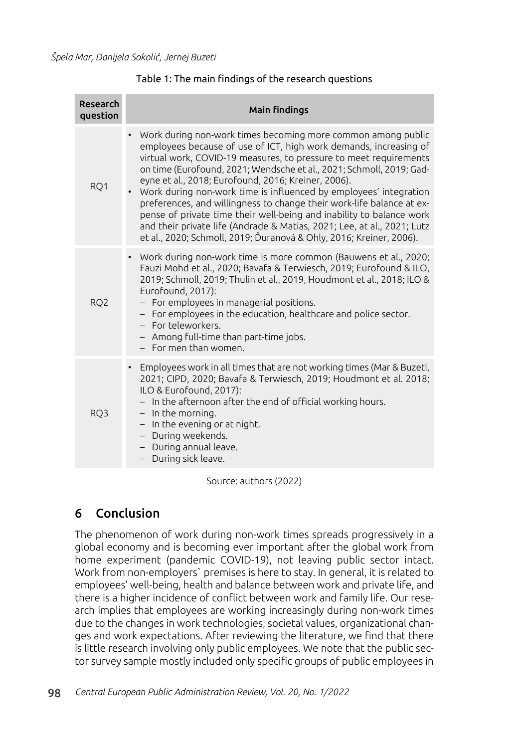| Research<br>question | <b>Main findings</b>                                                                                                                                                                                                                                                                                                                                                                                                                                                                                                                                                                                                                                                                                            |
|----------------------|-----------------------------------------------------------------------------------------------------------------------------------------------------------------------------------------------------------------------------------------------------------------------------------------------------------------------------------------------------------------------------------------------------------------------------------------------------------------------------------------------------------------------------------------------------------------------------------------------------------------------------------------------------------------------------------------------------------------|
| RQ1                  | Work during non-work times becoming more common among public<br>employees because of use of ICT, high work demands, increasing of<br>virtual work, COVID-19 measures, to pressure to meet requirements<br>on time (Eurofound, 2021; Wendsche et al., 2021; Schmoll, 2019; Gad-<br>eyne et al., 2018; Eurofound, 2016; Kreiner, 2006).<br>• Work during non-work time is influenced by employees' integration<br>preferences, and willingness to change their work-life balance at ex-<br>pense of private time their well-being and inability to balance work<br>and their private life (Andrade & Matias, 2021; Lee, at al., 2021; Lutz<br>et al., 2020; Schmoll, 2019; Ďuranová & Ohly, 2016; Kreiner, 2006). |
| RQ <sub>2</sub>      | • Work during non-work time is more common (Bauwens et al., 2020;<br>Fauzi Mohd et al., 2020; Bavafa & Terwiesch, 2019; Eurofound & ILO,<br>2019; Schmoll, 2019; Thulin et al., 2019, Houdmont et al., 2018; ILO &<br>Eurofound, 2017):<br>- For employees in managerial positions.<br>- For employees in the education, healthcare and police sector.<br>- For teleworkers.<br>- Among full-time than part-time jobs.<br>- For men than women.                                                                                                                                                                                                                                                                 |
| RO <sub>3</sub>      | Employees work in all times that are not working times (Mar & Buzeti,<br>2021; CIPD, 2020; Bavafa & Terwiesch, 2019; Houdmont et al. 2018;<br>ILO & Eurofound, 2017):<br>- In the afternoon after the end of official working hours.<br>$-$ In the morning.<br>$-$ In the evening or at night.<br>- During weekends.<br>During annual leave.<br>$-$<br>During sick leave.<br>$-$                                                                                                                                                                                                                                                                                                                                |

Table 1: The main findings of the research questions

Source: authors (2022)

# 6 Conclusion

The phenomenon of work during non-work times spreads progressively in a global economy and is becoming ever important after the global work from home experiment (pandemic COVID-19), not leaving public sector intact. Work from non-employers` premises is here to stay. In general, it is related to employees' well-being, health and balance between work and private life, and there is a higher incidence of conflict between work and family life. Our research implies that employees are working increasingly during non-work times due to the changes in work technologies, societal values, organizational changes and work expectations. After reviewing the literature, we find that there is little research involving only public employees. We note that the public sector survey sample mostly included only specific groups of public employees in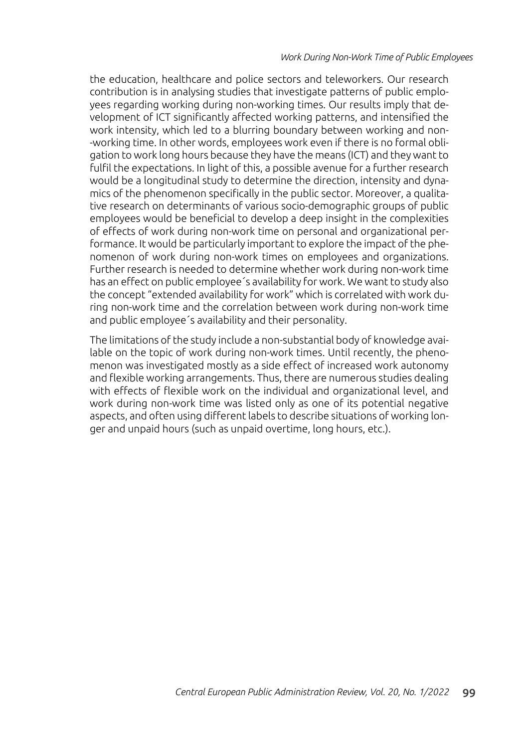the education, healthcare and police sectors and teleworkers. Our research contribution is in analysing studies that investigate patterns of public employees regarding working during non-working times. Our results imply that development of ICT significantly affected working patterns, and intensified the work intensity, which led to a blurring boundary between working and non- -working time. In other words, employees work even if there is no formal obligation to work long hours because they have the means (ICT) and they want to fulfil the expectations. In light of this, a possible avenue for a further research would be a longitudinal study to determine the direction, intensity and dynamics of the phenomenon specifically in the public sector. Moreover, a qualitative research on determinants of various socio-demographic groups of public employees would be beneficial to develop a deep insight in the complexities of effects of work during non-work time on personal and organizational performance. It would be particularly important to explore the impact of the phenomenon of work during non-work times on employees and organizations. Further research is needed to determine whether work during non-work time has an effect on public employee´s availability for work. We want to study also the concept "extended availability for work" which is correlated with work during non-work time and the correlation between work during non-work time and public employee´s availability and their personality.

The limitations of the study include a non-substantial body of knowledge available on the topic of work during non-work times. Until recently, the phenomenon was investigated mostly as a side effect of increased work autonomy and flexible working arrangements. Thus, there are numerous studies dealing with effects of flexible work on the individual and organizational level, and work during non-work time was listed only as one of its potential negative aspects, and often using different labels to describe situations of working longer and unpaid hours (such as unpaid overtime, long hours, etc.).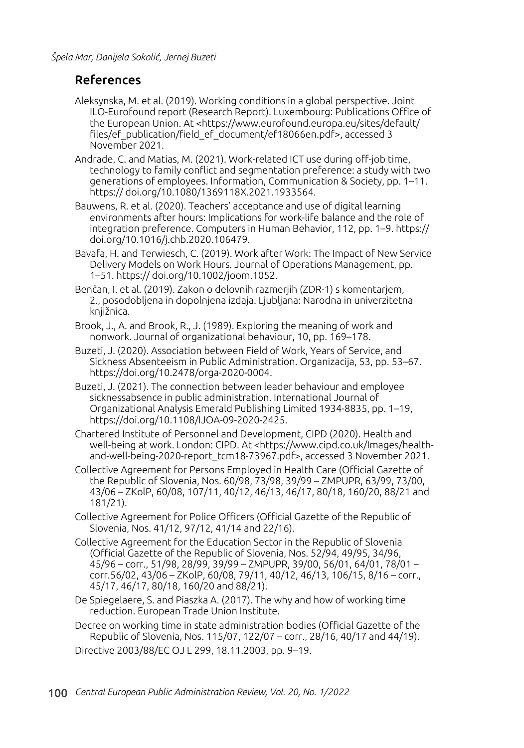### References

- Aleksynska, M. et al. (2019). Working conditions in a global perspective. Joint ILO-Eurofound report (Research Report). Luxembourg: Publications Office of the European Union. At <https://www.eurofound.europa.eu/sites/default/ files/ef\_publication/field\_ef\_document/ef18066en.pdf>, accessed 3 November 2021.
- Andrade, C. and Matias, M. (2021). Work-related ICT use during off-job time, technology to family conflict and segmentation preference: a study with two generations of employees. Information, Communication & Society, pp. 1–11. https:// doi.org/10.1080/1369118X.2021.1933564.
- Bauwens, R. et al. (2020). Teachers' acceptance and use of digital learning environments after hours: Implications for work-life balance and the role of integration preference. Computers in Human Behavior, 112, pp. 1–9. https:// doi.org/10.1016/j.chb.2020.106479.
- Bavafa, H. and Terwiesch, C. (2019). Work after Work: The Impact of New Service Delivery Models on Work Hours. Journal of Operations Management, pp. 1–51. https:// doi.org/10.1002/joom.1052.
- Benčan, I. et al. (2019). Zakon o delovnih razmerjih (ZDR-1) s komentarjem, 2., posodobljena in dopolnjena izdaja. Ljubljana: Narodna in univerzitetna kniižnica.
- Brook, J., A. and Brook, R., J. (1989). Exploring the meaning of work and nonwork. Journal of organizational behaviour, 10, pp. 169–178.
- Buzeti, J. (2020). Association between Field of Work, Years of Service, and Sickness Absenteeism in Public Administration. Organizacija, 53, pp. 53–67. https://doi.org/10.2478/orga-2020-0004.
- Buzeti, J. (2021). The connection between leader behaviour and employee sicknessabsence in public administration. International Journal of Organizational Analysis Emerald Publishing Limited 1934-8835, pp. 1–19, https://doi.org/10.1108/IJOA-09-2020-2425.

Chartered Institute of Personnel and Development, CIPD (2020). Health and well-being at work. London: CIPD. At <https://www.cipd.co.uk/Images/healthand-well-being-2020-report\_tcm18-73967.pdf>, accessed 3 November 2021.

- Collective Agreement for Persons Employed in Health Care (Official Gazette of the Republic of Slovenia, Nos. 60/98, 73/98, 39/99 – ZMPUPR, 63/99, 73/00, 43/06 – ZKolP, 60/08, 107/11, 40/12, 46/13, 46/17, 80/18, 160/20, 88/21 and 181/21).
- Collective Agreement for Police Officers (Official Gazette of the Republic of Slovenia, Nos. 41/12, 97/12, 41/14 and 22/16).
- Collective Agreement for the Education Sector in the Republic of Slovenia (Official Gazette of the Republic of Slovenia, Nos. 52/94, 49/95, 34/96, 45/96 – corr., 51/98, 28/99, 39/99 – ZMPUPR, 39/00, 56/01, 64/01, 78/01 – corr.56/02, 43/06 – ZKolP, 60/08, 79/11, 40/12, 46/13, 106/15, 8/16 – corr., 45/17, 46/17, 80/18, 160/20 and 88/21).
- De Spiegelaere, S. and Piaszka A. (2017). The why and how of working time reduction. European Trade Union Institute.
- Decree on working time in state administration bodies (Official Gazette of the Republic of Slovenia, Nos. 115/07, 122/07 – corr., 28/16, 40/17 and 44/19). Directive 2003/88/EC OJ L 299, 18.11.2003, pp. 9–19.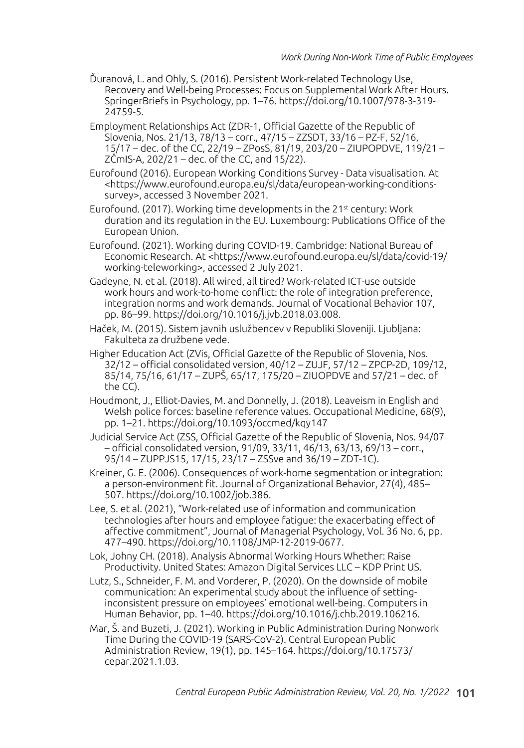- Ďuranová, L. and Ohly, S. (2016). Persistent Work-related Technology Use, Recovery and Well-being Processes: Focus on Supplemental Work After Hours. SpringerBriefs in Psychology, pp. 1–76. https://doi.org/10.1007/978-3-319- 24759-5.
- Employment Relationships Act (ZDR-1, Official Gazette of the Republic of Slovenia, Nos. 21/13, 78/13 – corr., 47/15 – ZZSDT, 33/16 – PZ-F, 52/16, 15/17 – dec. of the CC, 22/19 – ZPosS, 81/19, 203/20 – ZIUPOPDVE, 119/21 – ZČmIS-A, 202/21 – dec. of the CC, and 15/22).
- Eurofound (2016). European Working Conditions Survey Data visualisation. At <https://www.eurofound.europa.eu/sl/data/european-working-conditionssurvey>, accessed 3 November 2021.
- Eurofound. (2017). Working time developments in the  $21<sup>st</sup>$  century: Work duration and its regulation in the EU. Luxembourg: Publications Office of the European Union.
- Eurofound. (2021). Working during COVID-19. Cambridge: National Bureau of Economic Research. At <https://www.eurofound.europa.eu/sl/data/covid-19/ working-teleworking>, accessed 2 July 2021.
- Gadeyne, N. et al. (2018). All wired, all tired? Work-related ICT-use outside work hours and work-to-home conflict: the role of integration preference, integration norms and work demands. Journal of Vocational Behavior 107, pp. 86–99. https://doi.org/10.1016/j.jvb.2018.03.008.
- Haček, M. (2015). Sistem javnih uslužbencev v Republiki Sloveniji. Ljubljana: Fakulteta za družbene vede.
- Higher Education Act (ZVis, Official Gazette of the Republic of Slovenia, Nos. 32/12 – official consolidated version, 40/12 – ZUJF, 57/12 – ZPCP-2D, 109/12, 85/14, 75/16, 61/17 – ZUPŠ, 65/17, 175/20 – ZIUOPDVE and 57/21 – dec. of the CC).
- Houdmont, J., Elliot-Davies, M. and Donnelly, J. (2018). Leaveism in English and Welsh police forces: baseline reference values. Occupational Medicine, 68(9), pp. 1–21. https://doi.org/10.1093/occmed/kqy147
- Judicial Service Act (ZSS, Official Gazette of the Republic of Slovenia, Nos. 94/07 – official consolidated version, 91/09, 33/11, 46/13, 63/13, 69/13 – corr., 95/14 – ZUPPJS15, 17/15, 23/17 – ZSSve and 36/19 – ZDT-1C).
- Kreiner, G. E. (2006). Consequences of work-home segmentation or integration: a person-environment fit. Journal of Organizational Behavior, 27(4), 485– 507. https://doi.org/10.1002/job.386.
- Lee, S. et al. (2021), "Work-related use of information and communication technologies after hours and employee fatigue: the exacerbating effect of affective commitment", Journal of Managerial Psychology, Vol. 36 No. 6, pp. 477–490. https://doi.org/10.1108/JMP-12-2019-0677.
- Lok, Johny CH. (2018). Analysis Abnormal Working Hours Whether: Raise Productivity. United States: Amazon Digital Services LLC – KDP Print US.
- Lutz, S., Schneider, F. M. and Vorderer, P. (2020). On the downside of mobile communication: An experimental study about the influence of settinginconsistent pressure on employees' emotional well-being. Computers in Human Behavior, pp. 1–40. https://doi.org/10.1016/j.chb.2019.106216.
- Mar, Š. and Buzeti, J. (2021). Working in Public Administration During Nonwork Time During the COVID-19 (SARS-CoV-2). Central European Public Administration Review, 19(1), pp. 145–164. https://doi.org/10.17573/ cepar.2021.1.03.